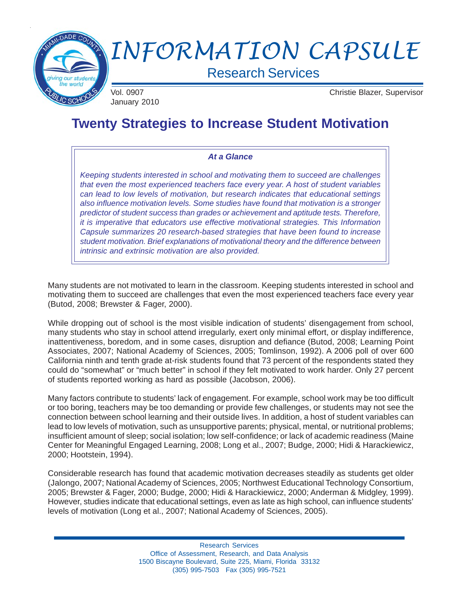

# *INFORMATION CAPSULE*

Research Services

January 2010

Vol. 0907 Christie Blazer, Supervisor

## **Twenty Strategies to Increase Student Motivation**

#### *At a Glance*

*Keeping students interested in school and motivating them to succeed are challenges that even the most experienced teachers face every year. A host of student variables can lead to low levels of motivation, but research indicates that educational settings also influence motivation levels. Some studies have found that motivation is a stronger predictor of student success than grades or achievement and aptitude tests. Therefore, it is imperative that educators use effective motivational strategies. This Information Capsule summarizes 20 research-based strategies that have been found to increase student motivation. Brief explanations of motivational theory and the difference between intrinsic and extrinsic motivation are also provided.*

Many students are not motivated to learn in the classroom. Keeping students interested in school and motivating them to succeed are challenges that even the most experienced teachers face every year (Butod, 2008; Brewster & Fager, 2000).

While dropping out of school is the most visible indication of students' disengagement from school, many students who stay in school attend irregularly, exert only minimal effort, or display indifference, inattentiveness, boredom, and in some cases, disruption and defiance (Butod, 2008; Learning Point Associates, 2007; National Academy of Sciences, 2005; Tomlinson, 1992). A 2006 poll of over 600 California ninth and tenth grade at-risk students found that 73 percent of the respondents stated they could do "somewhat" or "much better" in school if they felt motivated to work harder. Only 27 percent of students reported working as hard as possible (Jacobson, 2006).

Many factors contribute to students' lack of engagement. For example, school work may be too difficult or too boring, teachers may be too demanding or provide few challenges, or students may not see the connection between school learning and their outside lives. In addition, a host of student variables can lead to low levels of motivation, such as unsupportive parents; physical, mental, or nutritional problems; insufficient amount of sleep; social isolation; low self-confidence; or lack of academic readiness (Maine Center for Meaningful Engaged Learning, 2008; Long et al., 2007; Budge, 2000; Hidi & Harackiewicz, 2000; Hootstein, 1994).

Considerable research has found that academic motivation decreases steadily as students get older (Jalongo, 2007; National Academy of Sciences, 2005; Northwest Educational Technology Consortium, 2005; Brewster & Fager, 2000; Budge, 2000; Hidi & Harackiewicz, 2000; Anderman & Midgley, 1999). However, studies indicate that educational settings, even as late as high school, can influence students' levels of motivation (Long et al., 2007; National Academy of Sciences, 2005).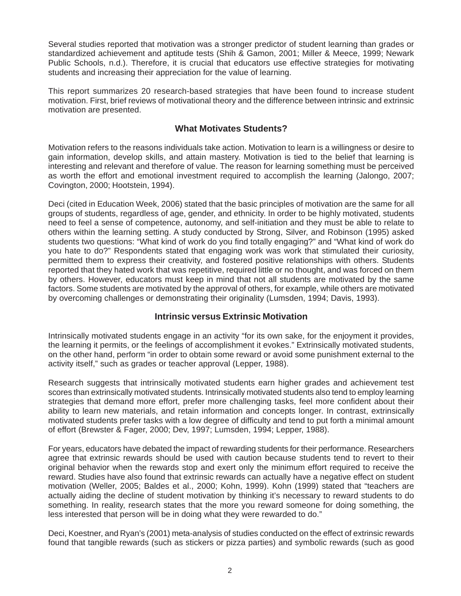Several studies reported that motivation was a stronger predictor of student learning than grades or standardized achievement and aptitude tests (Shih & Gamon, 2001; Miller & Meece, 1999; Newark Public Schools, n.d.). Therefore, it is crucial that educators use effective strategies for motivating students and increasing their appreciation for the value of learning.

This report summarizes 20 research-based strategies that have been found to increase student motivation. First, brief reviews of motivational theory and the difference between intrinsic and extrinsic motivation are presented.

#### **What Motivates Students?**

Motivation refers to the reasons individuals take action. Motivation to learn is a willingness or desire to gain information, develop skills, and attain mastery. Motivation is tied to the belief that learning is interesting and relevant and therefore of value. The reason for learning something must be perceived as worth the effort and emotional investment required to accomplish the learning (Jalongo, 2007; Covington, 2000; Hootstein, 1994).

Deci (cited in Education Week, 2006) stated that the basic principles of motivation are the same for all groups of students, regardless of age, gender, and ethnicity. In order to be highly motivated, students need to feel a sense of competence, autonomy, and self-initiation and they must be able to relate to others within the learning setting. A study conducted by Strong, Silver, and Robinson (1995) asked students two questions: "What kind of work do you find totally engaging?" and "What kind of work do you hate to do?" Respondents stated that engaging work was work that stimulated their curiosity, permitted them to express their creativity, and fostered positive relationships with others. Students reported that they hated work that was repetitive, required little or no thought, and was forced on them by others. However, educators must keep in mind that not all students are motivated by the same factors. Some students are motivated by the approval of others, for example, while others are motivated by overcoming challenges or demonstrating their originality (Lumsden, 1994; Davis, 1993).

### **Intrinsic versus Extrinsic Motivation**

Intrinsically motivated students engage in an activity "for its own sake, for the enjoyment it provides, the learning it permits, or the feelings of accomplishment it evokes." Extrinsically motivated students, on the other hand, perform "in order to obtain some reward or avoid some punishment external to the activity itself," such as grades or teacher approval (Lepper, 1988).

Research suggests that intrinsically motivated students earn higher grades and achievement test scores than extrinsically motivated students. Intrinsically motivated students also tend to employ learning strategies that demand more effort, prefer more challenging tasks, feel more confident about their ability to learn new materials, and retain information and concepts longer. In contrast, extrinsically motivated students prefer tasks with a low degree of difficulty and tend to put forth a minimal amount of effort (Brewster & Fager, 2000; Dev, 1997; Lumsden, 1994; Lepper, 1988).

For years, educators have debated the impact of rewarding students for their performance. Researchers agree that extrinsic rewards should be used with caution because students tend to revert to their original behavior when the rewards stop and exert only the minimum effort required to receive the reward. Studies have also found that extrinsic rewards can actually have a negative effect on student motivation (Weller, 2005; Baldes et al., 2000; Kohn, 1999). Kohn (1999) stated that "teachers are actually aiding the decline of student motivation by thinking it's necessary to reward students to do something. In reality, research states that the more you reward someone for doing something, the less interested that person will be in doing what they were rewarded to do."

Deci, Koestner, and Ryan's (2001) meta-analysis of studies conducted on the effect of extrinsic rewards found that tangible rewards (such as stickers or pizza parties) and symbolic rewards (such as good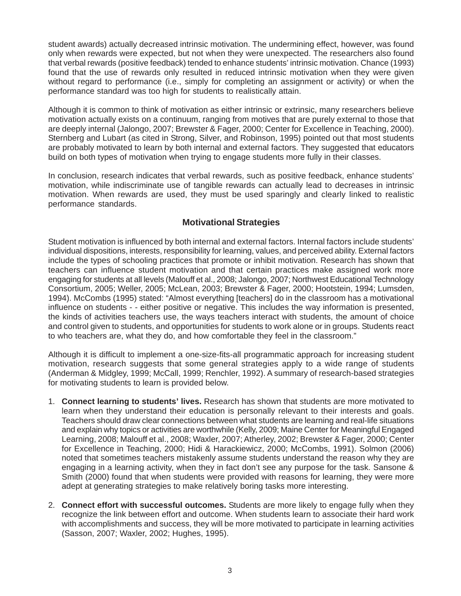student awards) actually decreased intrinsic motivation. The undermining effect, however, was found only when rewards were expected, but not when they were unexpected. The researchers also found that verbal rewards (positive feedback) tended to enhance students' intrinsic motivation. Chance (1993) found that the use of rewards only resulted in reduced intrinsic motivation when they were given without regard to performance (i.e., simply for completing an assignment or activity) or when the performance standard was too high for students to realistically attain.

Although it is common to think of motivation as either intrinsic or extrinsic, many researchers believe motivation actually exists on a continuum, ranging from motives that are purely external to those that are deeply internal (Jalongo, 2007; Brewster & Fager, 2000; Center for Excellence in Teaching, 2000). Sternberg and Lubart (as cited in Strong, Silver, and Robinson, 1995) pointed out that most students are probably motivated to learn by both internal and external factors. They suggested that educators build on both types of motivation when trying to engage students more fully in their classes.

In conclusion, research indicates that verbal rewards, such as positive feedback, enhance students' motivation, while indiscriminate use of tangible rewards can actually lead to decreases in intrinsic motivation. When rewards are used, they must be used sparingly and clearly linked to realistic performance standards.

### **Motivational Strategies**

Student motivation is influenced by both internal and external factors. Internal factors include students' individual dispositions, interests, responsibility for learning, values, and perceived ability. External factors include the types of schooling practices that promote or inhibit motivation. Research has shown that teachers can influence student motivation and that certain practices make assigned work more engaging for students at all levels (Malouff et al., 2008; Jalongo, 2007; Northwest Educational Technology Consortium, 2005; Weller, 2005; McLean, 2003; Brewster & Fager, 2000; Hootstein, 1994; Lumsden, 1994). McCombs (1995) stated: "Almost everything [teachers] do in the classroom has a motivational influence on students - - either positive or negative. This includes the way information is presented, the kinds of activities teachers use, the ways teachers interact with students, the amount of choice and control given to students, and opportunities for students to work alone or in groups. Students react to who teachers are, what they do, and how comfortable they feel in the classroom."

Although it is difficult to implement a one-size-fits-all programmatic approach for increasing student motivation, research suggests that some general strategies apply to a wide range of students (Anderman & Midgley, 1999; McCall, 1999; Renchler, 1992). A summary of research-based strategies for motivating students to learn is provided below.

- 1. **Connect learning to students' lives.** Research has shown that students are more motivated to learn when they understand their education is personally relevant to their interests and goals. Teachers should draw clear connections between what students are learning and real-life situations and explain why topics or activities are worthwhile (Kelly, 2009; Maine Center for Meaningful Engaged Learning, 2008; Malouff et al., 2008; Waxler, 2007; Atherley, 2002; Brewster & Fager, 2000; Center for Excellence in Teaching, 2000; Hidi & Harackiewicz, 2000; McCombs, 1991). Solmon (2006) noted that sometimes teachers mistakenly assume students understand the reason why they are engaging in a learning activity, when they in fact don't see any purpose for the task. Sansone & Smith (2000) found that when students were provided with reasons for learning, they were more adept at generating strategies to make relatively boring tasks more interesting.
- 2. **Connect effort with successful outcomes.** Students are more likely to engage fully when they recognize the link between effort and outcome. When students learn to associate their hard work with accomplishments and success, they will be more motivated to participate in learning activities (Sasson, 2007; Waxler, 2002; Hughes, 1995).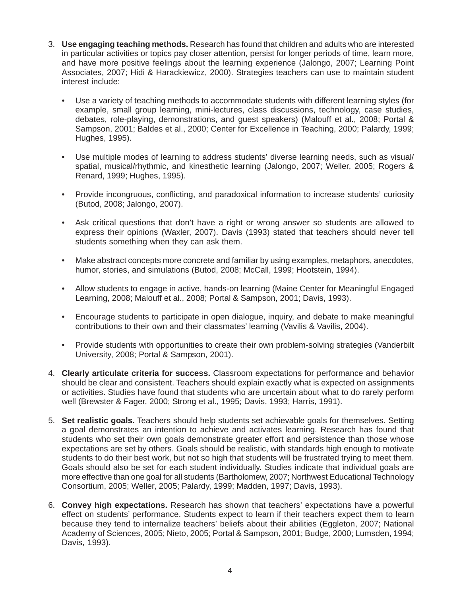- 3. **Use engaging teaching methods.** Research has found that children and adults who are interested in particular activities or topics pay closer attention, persist for longer periods of time, learn more, and have more positive feelings about the learning experience (Jalongo, 2007; Learning Point Associates, 2007; Hidi & Harackiewicz, 2000). Strategies teachers can use to maintain student interest include:
	- Use a variety of teaching methods to accommodate students with different learning styles (for example, small group learning, mini-lectures, class discussions, technology, case studies, debates, role-playing, demonstrations, and guest speakers) (Malouff et al., 2008; Portal & Sampson, 2001; Baldes et al., 2000; Center for Excellence in Teaching, 2000; Palardy, 1999; Hughes, 1995).
	- Use multiple modes of learning to address students' diverse learning needs, such as visual/ spatial, musical/rhythmic, and kinesthetic learning (Jalongo, 2007; Weller, 2005; Rogers & Renard, 1999; Hughes, 1995).
	- Provide incongruous, conflicting, and paradoxical information to increase students' curiosity (Butod, 2008; Jalongo, 2007).
	- Ask critical questions that don't have a right or wrong answer so students are allowed to express their opinions (Waxler, 2007). Davis (1993) stated that teachers should never tell students something when they can ask them.
	- Make abstract concepts more concrete and familiar by using examples, metaphors, anecdotes, humor, stories, and simulations (Butod, 2008; McCall, 1999; Hootstein, 1994).
	- Allow students to engage in active, hands-on learning (Maine Center for Meaningful Engaged Learning, 2008; Malouff et al., 2008; Portal & Sampson, 2001; Davis, 1993).
	- Encourage students to participate in open dialogue, inquiry, and debate to make meaningful contributions to their own and their classmates' learning (Vavilis & Vavilis, 2004).
	- Provide students with opportunities to create their own problem-solving strategies (Vanderbilt University, 2008; Portal & Sampson, 2001).
- 4. **Clearly articulate criteria for success.** Classroom expectations for performance and behavior should be clear and consistent. Teachers should explain exactly what is expected on assignments or activities. Studies have found that students who are uncertain about what to do rarely perform well (Brewster & Fager, 2000; Strong et al., 1995; Davis, 1993; Harris, 1991).
- 5. **Set realistic goals.** Teachers should help students set achievable goals for themselves. Setting a goal demonstrates an intention to achieve and activates learning. Research has found that students who set their own goals demonstrate greater effort and persistence than those whose expectations are set by others. Goals should be realistic, with standards high enough to motivate students to do their best work, but not so high that students will be frustrated trying to meet them. Goals should also be set for each student individually. Studies indicate that individual goals are more effective than one goal for all students (Bartholomew, 2007; Northwest Educational Technology Consortium, 2005; Weller, 2005; Palardy, 1999; Madden, 1997; Davis, 1993).
- 6. **Convey high expectations.** Research has shown that teachers' expectations have a powerful effect on students' performance. Students expect to learn if their teachers expect them to learn because they tend to internalize teachers' beliefs about their abilities (Eggleton, 2007; National Academy of Sciences, 2005; Nieto, 2005; Portal & Sampson, 2001; Budge, 2000; Lumsden, 1994; Davis, 1993).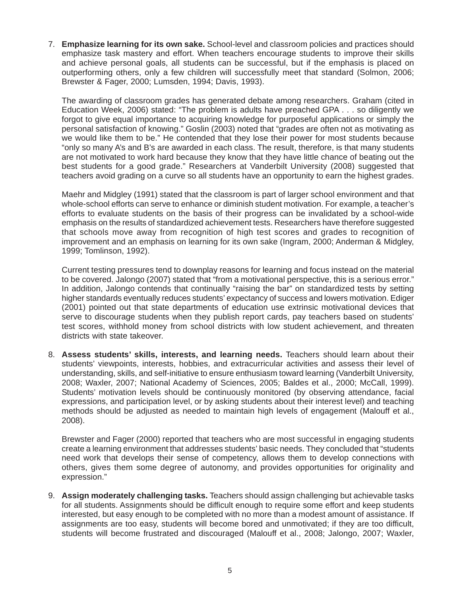7. **Emphasize learning for its own sake.** School-level and classroom policies and practices should emphasize task mastery and effort. When teachers encourage students to improve their skills and achieve personal goals, all students can be successful, but if the emphasis is placed on outperforming others, only a few children will successfully meet that standard (Solmon, 2006; Brewster & Fager, 2000; Lumsden, 1994; Davis, 1993).

The awarding of classroom grades has generated debate among researchers. Graham (cited in Education Week, 2006) stated: "The problem is adults have preached GPA . . . so diligently we forgot to give equal importance to acquiring knowledge for purposeful applications or simply the personal satisfaction of knowing." Goslin (2003) noted that "grades are often not as motivating as we would like them to be." He contended that they lose their power for most students because "only so many A's and B's are awarded in each class. The result, therefore, is that many students are not motivated to work hard because they know that they have little chance of beating out the best students for a good grade." Researchers at Vanderbilt University (2008) suggested that teachers avoid grading on a curve so all students have an opportunity to earn the highest grades.

Maehr and Midgley (1991) stated that the classroom is part of larger school environment and that whole-school efforts can serve to enhance or diminish student motivation. For example, a teacher's efforts to evaluate students on the basis of their progress can be invalidated by a school-wide emphasis on the results of standardized achievement tests. Researchers have therefore suggested that schools move away from recognition of high test scores and grades to recognition of improvement and an emphasis on learning for its own sake (Ingram, 2000; Anderman & Midgley, 1999; Tomlinson, 1992).

Current testing pressures tend to downplay reasons for learning and focus instead on the material to be covered. Jalongo (2007) stated that "from a motivational perspective, this is a serious error." In addition, Jalongo contends that continually "raising the bar" on standardized tests by setting higher standards eventually reduces students' expectancy of success and lowers motivation. Ediger (2001) pointed out that state departments of education use extrinsic motivational devices that serve to discourage students when they publish report cards, pay teachers based on students' test scores, withhold money from school districts with low student achievement, and threaten districts with state takeover.

8. **Assess students' skills, interests, and learning needs.** Teachers should learn about their students' viewpoints, interests, hobbies, and extracurricular activities and assess their level of understanding, skills, and self-initiative to ensure enthusiasm toward learning (Vanderbilt University, 2008; Waxler, 2007; National Academy of Sciences, 2005; Baldes et al., 2000; McCall, 1999). Students' motivation levels should be continuously monitored (by observing attendance, facial expressions, and participation level, or by asking students about their interest level) and teaching methods should be adjusted as needed to maintain high levels of engagement (Malouff et al., 2008).

Brewster and Fager (2000) reported that teachers who are most successful in engaging students create a learning environment that addresses students' basic needs. They concluded that "students need work that develops their sense of competency, allows them to develop connections with others, gives them some degree of autonomy, and provides opportunities for originality and expression."

9. **Assign moderately challenging tasks.** Teachers should assign challenging but achievable tasks for all students. Assignments should be difficult enough to require some effort and keep students interested, but easy enough to be completed with no more than a modest amount of assistance. If assignments are too easy, students will become bored and unmotivated; if they are too difficult, students will become frustrated and discouraged (Malouff et al., 2008; Jalongo, 2007; Waxler,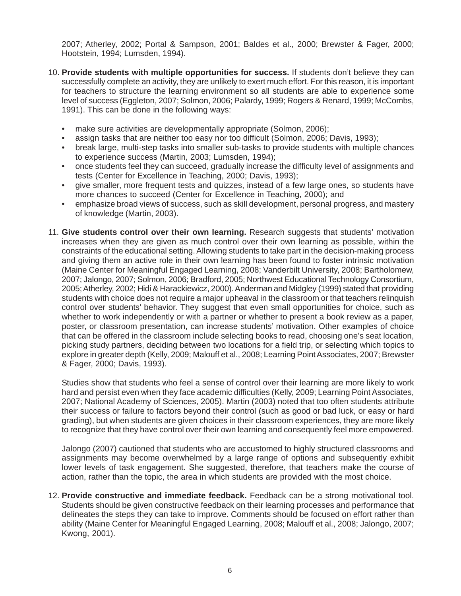2007; Atherley, 2002; Portal & Sampson, 2001; Baldes et al., 2000; Brewster & Fager, 2000; Hootstein, 1994; Lumsden, 1994).

- 10. **Provide students with multiple opportunities for success.** If students don't believe they can successfully complete an activity, they are unlikely to exert much effort. For this reason, it is important for teachers to structure the learning environment so all students are able to experience some level of success (Eggleton, 2007; Solmon, 2006; Palardy, 1999; Rogers & Renard, 1999; McCombs, 1991). This can be done in the following ways:
	- make sure activities are developmentally appropriate (Solmon, 2006);
	- assign tasks that are neither too easy nor too difficult (Solmon, 2006; Davis, 1993);
	- break large, multi-step tasks into smaller sub-tasks to provide students with multiple chances to experience success (Martin, 2003; Lumsden, 1994);
	- once students feel they can succeed, gradually increase the difficulty level of assignments and tests (Center for Excellence in Teaching, 2000; Davis, 1993);
	- give smaller, more frequent tests and quizzes, instead of a few large ones, so students have more chances to succeed (Center for Excellence in Teaching, 2000); and
	- emphasize broad views of success, such as skill development, personal progress, and mastery of knowledge (Martin, 2003).
- 11. **Give students control over their own learning.** Research suggests that students' motivation increases when they are given as much control over their own learning as possible, within the constraints of the educational setting. Allowing students to take part in the decision-making process and giving them an active role in their own learning has been found to foster intrinsic motivation (Maine Center for Meaningful Engaged Learning, 2008; Vanderbilt University, 2008; Bartholomew, 2007; Jalongo, 2007; Solmon, 2006; Bradford, 2005; Northwest Educational Technology Consortium, 2005; Atherley, 2002; Hidi & Harackiewicz, 2000). Anderman and Midgley (1999) stated that providing students with choice does not require a major upheaval in the classroom or that teachers relinquish control over students' behavior. They suggest that even small opportunities for choice, such as whether to work independently or with a partner or whether to present a book review as a paper, poster, or classroom presentation, can increase students' motivation. Other examples of choice that can be offered in the classroom include selecting books to read, choosing one's seat location, picking study partners, deciding between two locations for a field trip, or selecting which topics to explore in greater depth (Kelly, 2009; Malouff et al., 2008; Learning Point Associates, 2007; Brewster & Fager, 2000; Davis, 1993).

Studies show that students who feel a sense of control over their learning are more likely to work hard and persist even when they face academic difficulties (Kelly, 2009; Learning Point Associates, 2007; National Academy of Sciences, 2005). Martin (2003) noted that too often students attribute their success or failure to factors beyond their control (such as good or bad luck, or easy or hard grading), but when students are given choices in their classroom experiences, they are more likely to recognize that they have control over their own learning and consequently feel more empowered.

Jalongo (2007) cautioned that students who are accustomed to highly structured classrooms and assignments may become overwhelmed by a large range of options and subsequently exhibit lower levels of task engagement. She suggested, therefore, that teachers make the course of action, rather than the topic, the area in which students are provided with the most choice.

12. **Provide constructive and immediate feedback.** Feedback can be a strong motivational tool. Students should be given constructive feedback on their learning processes and performance that delineates the steps they can take to improve. Comments should be focused on effort rather than ability (Maine Center for Meaningful Engaged Learning, 2008; Malouff et al., 2008; Jalongo, 2007; Kwong, 2001).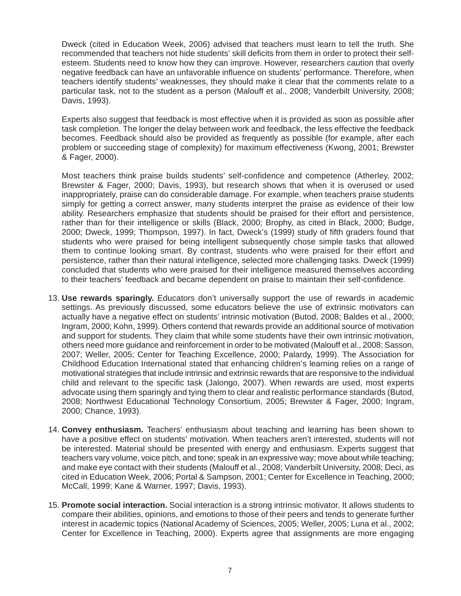Dweck (cited in Education Week, 2006) advised that teachers must learn to tell the truth. She recommended that teachers not hide students' skill deficits from them in order to protect their selfesteem. Students need to know how they can improve. However, researchers caution that overly negative feedback can have an unfavorable influence on students' performance. Therefore, when teachers identify students' weaknesses, they should make it clear that the comments relate to a particular task, not to the student as a person (Malouff et al., 2008; Vanderbilt University, 2008; Davis, 1993).

Experts also suggest that feedback is most effective when it is provided as soon as possible after task completion. The longer the delay between work and feedback, the less effective the feedback becomes. Feedback should also be provided as frequently as possible (for example, after each problem or succeeding stage of complexity) for maximum effectiveness (Kwong, 2001; Brewster & Fager, 2000).

Most teachers think praise builds students' self-confidence and competence (Atherley, 2002; Brewster & Fager, 2000; Davis, 1993), but research shows that when it is overused or used inappropriately, praise can do considerable damage. For example, when teachers praise students simply for getting a correct answer, many students interpret the praise as evidence of their low ability. Researchers emphasize that students should be praised for their effort and persistence, rather than for their intelligence or skills (Black, 2000; Brophy, as cited in Black, 2000; Budge, 2000; Dweck, 1999; Thompson, 1997). In fact, Dweck's (1999) study of fifth graders found that students who were praised for being intelligent subsequently chose simple tasks that allowed them to continue looking smart. By contrast, students who were praised for their effort and persistence, rather than their natural intelligence, selected more challenging tasks. Dweck (1999) concluded that students who were praised for their intelligence measured themselves according to their teachers' feedback and became dependent on praise to maintain their self-confidence.

- 13. **Use rewards sparingly.** Educators don't universally support the use of rewards in academic settings. As previously discussed, some educators believe the use of extrinsic motivators can actually have a negative effect on students' intrinsic motivation (Butod, 2008; Baldes et al., 2000; Ingram, 2000; Kohn, 1999). Others contend that rewards provide an additional source of motivation and support for students. They claim that while some students have their own intrinsic motivation, others need more guidance and reinforcement in order to be motivated (Malouff et al., 2008; Sasson, 2007; Weller, 2005; Center for Teaching Excellence, 2000; Palardy, 1999). The Association for Childhood Education International stated that enhancing children's learning relies on a range of motivational strategies that include intrinsic and extrinsic rewards that are responsive to the individual child and relevant to the specific task (Jalongo, 2007). When rewards are used, most experts advocate using them sparingly and tying them to clear and realistic performance standards (Butod, 2008; Northwest Educational Technology Consortium, 2005; Brewster & Fager, 2000; Ingram, 2000; Chance, 1993).
- 14. **Convey enthusiasm.** Teachers' enthusiasm about teaching and learning has been shown to have a positive effect on students' motivation. When teachers aren't interested, students will not be interested. Material should be presented with energy and enthusiasm. Experts suggest that teachers vary volume, voice pitch, and tone; speak in an expressive way; move about while teaching; and make eye contact with their students (Malouff et al., 2008; Vanderbilt University, 2008; Deci, as cited in Education Week, 2006; Portal & Sampson, 2001; Center for Excellence in Teaching, 2000; McCall, 1999; Kane & Warner, 1997; Davis, 1993).
- 15. **Promote social interaction.** Social interaction is a strong intrinsic motivator. It allows students to compare their abilities, opinions, and emotions to those of their peers and tends to generate further interest in academic topics (National Academy of Sciences, 2005; Weller, 2005; Luna et al., 2002; Center for Excellence in Teaching, 2000). Experts agree that assignments are more engaging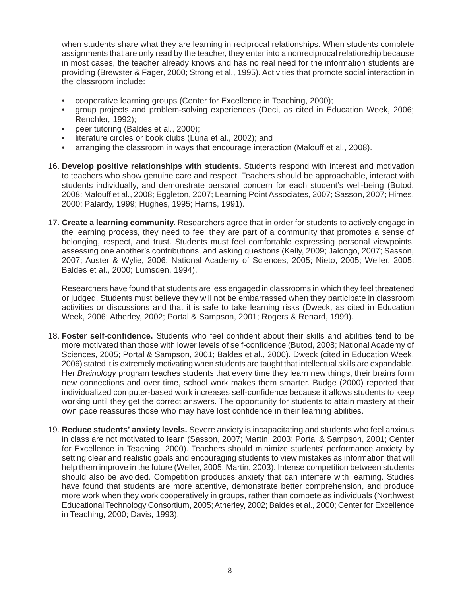when students share what they are learning in reciprocal relationships. When students complete assignments that are only read by the teacher, they enter into a nonreciprocal relationship because in most cases, the teacher already knows and has no real need for the information students are providing (Brewster & Fager, 2000; Strong et al., 1995). Activities that promote social interaction in the classroom include:

- cooperative learning groups (Center for Excellence in Teaching, 2000);
- group projects and problem-solving experiences (Deci, as cited in Education Week, 2006; Renchler, 1992);
- peer tutoring (Baldes et al., 2000);
- literature circles or book clubs (Luna et al., 2002); and
- arranging the classroom in ways that encourage interaction (Malouff et al., 2008).
- 16. **Develop positive relationships with students.** Students respond with interest and motivation to teachers who show genuine care and respect. Teachers should be approachable, interact with students individually, and demonstrate personal concern for each student's well-being (Butod, 2008; Malouff et al., 2008; Eggleton, 2007; Learning Point Associates, 2007; Sasson, 2007; Himes, 2000; Palardy, 1999; Hughes, 1995; Harris, 1991).
- 17. **Create a learning community.** Researchers agree that in order for students to actively engage in the learning process, they need to feel they are part of a community that promotes a sense of belonging, respect, and trust. Students must feel comfortable expressing personal viewpoints, assessing one another's contributions, and asking questions (Kelly, 2009; Jalongo, 2007; Sasson, 2007; Auster & Wylie, 2006; National Academy of Sciences, 2005; Nieto, 2005; Weller, 2005; Baldes et al., 2000; Lumsden, 1994).

Researchers have found that students are less engaged in classrooms in which they feel threatened or judged. Students must believe they will not be embarrassed when they participate in classroom activities or discussions and that it is safe to take learning risks (Dweck, as cited in Education Week, 2006; Atherley, 2002; Portal & Sampson, 2001; Rogers & Renard, 1999).

- 18. **Foster self-confidence.** Students who feel confident about their skills and abilities tend to be more motivated than those with lower levels of self-confidence (Butod, 2008; National Academy of Sciences, 2005; Portal & Sampson, 2001; Baldes et al., 2000). Dweck (cited in Education Week, 2006) stated it is extremely motivating when students are taught that intellectual skills are expandable. Her *Brainology* program teaches students that every time they learn new things, their brains form new connections and over time, school work makes them smarter. Budge (2000) reported that individualized computer-based work increases self-confidence because it allows students to keep working until they get the correct answers. The opportunity for students to attain mastery at their own pace reassures those who may have lost confidence in their learning abilities.
- 19. **Reduce students' anxiety levels.** Severe anxiety is incapacitating and students who feel anxious in class are not motivated to learn (Sasson, 2007; Martin, 2003; Portal & Sampson, 2001; Center for Excellence in Teaching, 2000). Teachers should minimize students' performance anxiety by setting clear and realistic goals and encouraging students to view mistakes as information that will help them improve in the future (Weller, 2005; Martin, 2003). Intense competition between students should also be avoided. Competition produces anxiety that can interfere with learning. Studies have found that students are more attentive, demonstrate better comprehension, and produce more work when they work cooperatively in groups, rather than compete as individuals (Northwest Educational Technology Consortium, 2005; Atherley, 2002; Baldes et al., 2000; Center for Excellence in Teaching, 2000; Davis, 1993).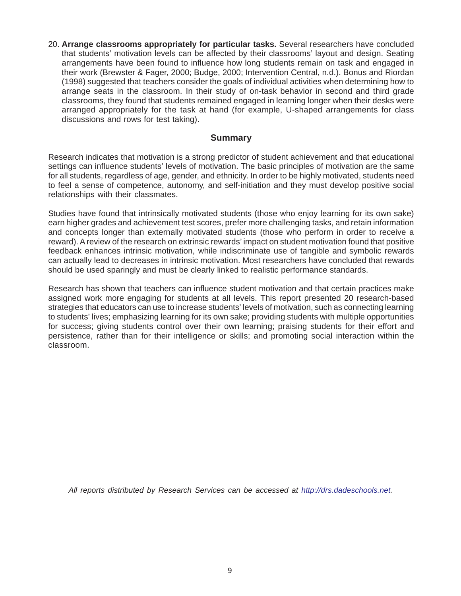20. **Arrange classrooms appropriately for particular tasks.** Several researchers have concluded that students' motivation levels can be affected by their classrooms' layout and design. Seating arrangements have been found to influence how long students remain on task and engaged in their work (Brewster & Fager, 2000; Budge, 2000; Intervention Central, n.d.). Bonus and Riordan (1998) suggested that teachers consider the goals of individual activities when determining how to arrange seats in the classroom. In their study of on-task behavior in second and third grade classrooms, they found that students remained engaged in learning longer when their desks were arranged appropriately for the task at hand (for example, U-shaped arrangements for class discussions and rows for test taking).

#### **Summary**

Research indicates that motivation is a strong predictor of student achievement and that educational settings can influence students' levels of motivation. The basic principles of motivation are the same for all students, regardless of age, gender, and ethnicity. In order to be highly motivated, students need to feel a sense of competence, autonomy, and self-initiation and they must develop positive social relationships with their classmates.

Studies have found that intrinsically motivated students (those who enjoy learning for its own sake) earn higher grades and achievement test scores, prefer more challenging tasks, and retain information and concepts longer than externally motivated students (those who perform in order to receive a reward). A review of the research on extrinsic rewards' impact on student motivation found that positive feedback enhances intrinsic motivation, while indiscriminate use of tangible and symbolic rewards can actually lead to decreases in intrinsic motivation. Most researchers have concluded that rewards should be used sparingly and must be clearly linked to realistic performance standards.

Research has shown that teachers can influence student motivation and that certain practices make assigned work more engaging for students at all levels. This report presented 20 research-based strategies that educators can use to increase students' levels of motivation, such as connecting learning to students' lives; emphasizing learning for its own sake; providing students with multiple opportunities for success; giving students control over their own learning; praising students for their effort and persistence, rather than for their intelligence or skills; and promoting social interaction within the classroom.

*All reports distributed by Research Services can be accessed at http://drs.dadeschools.net.*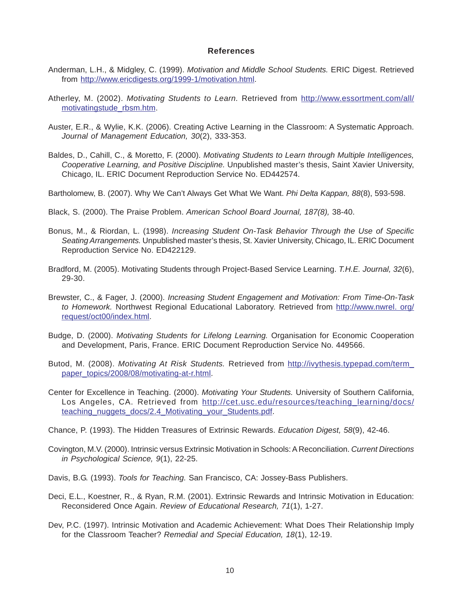#### **References**

- Anderman, L.H., & Midgley, C. (1999). *Motivation and Middle School Students.* ERIC Digest. Retrieved from http://www.ericdigests.org/1999-1/motivation.html.
- Atherley, M. (2002). *Motivating Students to Learn.* Retrieved from http://www.essortment.com/all/ motivatingstude\_rbsm.htm.
- Auster, E.R., & Wylie, K.K. (2006). Creating Active Learning in the Classroom: A Systematic Approach. *Journal of Management Education, 30*(2), 333-353.
- Baldes, D., Cahill, C., & Moretto, F. (2000). *Motivating Students to Learn through Multiple Intelligences, Cooperative Learning, and Positive Discipline.* Unpublished master's thesis, Saint Xavier University, Chicago, IL. ERIC Document Reproduction Service No. ED442574.
- Bartholomew, B. (2007). Why We Can't Always Get What We Want. *Phi Delta Kappan, 88*(8), 593-598.
- Black, S. (2000). The Praise Problem. *American School Board Journal, 187(8),* 38-40.
- Bonus, M., & Riordan, L. (1998). *Increasing Student On-Task Behavior Through the Use of Specific Seating Arrangements.* Unpublished master's thesis, St. Xavier University, Chicago, IL. ERIC Document Reproduction Service No. ED422129.
- Bradford, M. (2005). Motivating Students through Project-Based Service Learning. *T.H.E. Journal, 32*(6), 29-30.
- Brewster, C., & Fager, J. (2000). *Increasing Student Engagement and Motivation: From Time-On-Task to Homework.* Northwest Regional Educational Laboratory. Retrieved from http://www.nwrel. org/ request/oct00/index.html.
- Budge, D. (2000). *Motivating Students for Lifelong Learning.* Organisation for Economic Cooperation and Development, Paris, France. ERIC Document Reproduction Service No. 449566.
- Butod, M. (2008). *Motivating At Risk Students.* Retrieved from http://ivythesis.typepad.com/term\_ paper\_topics/2008/08/motivating-at-r.html.
- Center for Excellence in Teaching. (2000). *Motivating Your Students.* University of Southern California, Los Angeles, CA. Retrieved from http://cet.usc.edu/resources/teaching\_learning/docs/ teaching\_nuggets\_docs/2.4\_Motivating\_your\_Students.pdf.
- Chance, P. (1993). The Hidden Treasures of Extrinsic Rewards. *Education Digest, 58*(9), 42-46.
- Covington, M.V. (2000). Intrinsic versus Extrinsic Motivation in Schools: A Reconciliation. *Current Directions in Psychological Science, 9*(1), 22-25.
- Davis, B.G. (1993). *Tools for Teaching.* San Francisco, CA: Jossey-Bass Publishers.
- Deci, E.L., Koestner, R., & Ryan, R.M. (2001). Extrinsic Rewards and Intrinsic Motivation in Education: Reconsidered Once Again. *Review of Educational Research, 71*(1), 1-27.
- Dev, P.C. (1997). Intrinsic Motivation and Academic Achievement: What Does Their Relationship Imply for the Classroom Teacher? *Remedial and Special Education, 18*(1), 12-19.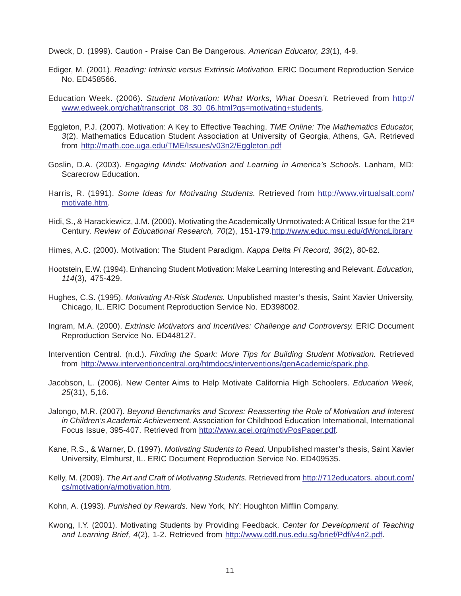Dweck, D. (1999). Caution - Praise Can Be Dangerous. *American Educator, 23*(1), 4-9.

- Ediger, M. (2001). *Reading: Intrinsic versus Extrinsic Motivation.* ERIC Document Reproduction Service No. ED458566.
- Education Week. (2006). *Student Motivation: What Works, What Doesn't.* Retrieved from http:// www.edweek.org/chat/transcript\_08\_30\_06.html?qs=motivating+students.
- Eggleton, P.J. (2007). Motivation: A Key to Effective Teaching. *TME Online: The Mathematics Educator, 3*(2). Mathematics Education Student Association at University of Georgia, Athens, GA. Retrieved from http://math.coe.uga.edu/TME/Issues/v03n2/Eggleton.pdf
- Goslin, D.A. (2003). *Engaging Minds: Motivation and Learning in America's Schools.* Lanham, MD: Scarecrow Education.
- Harris, R. (1991). *Some Ideas for Motivating Students.* Retrieved from http://www.virtualsalt.com/ motivate.htm.
- Hidi, S., & Harackiewicz, J.M. (2000). Motivating the Academically Unmotivated: A Critical Issue for the 21<sup>st</sup> Century. *Review of Educational Research, 70*(2), 151-179.http://www.educ.msu.edu/dWongLibrary
- Himes, A.C. (2000). Motivation: The Student Paradigm. *Kappa Delta Pi Record, 36*(2), 80-82.
- Hootstein, E.W. (1994). Enhancing Student Motivation: Make Learning Interesting and Relevant. *Education, 114*(3), 475-429.
- Hughes, C.S. (1995). *Motivating At-Risk Students.* Unpublished master's thesis, Saint Xavier University, Chicago, IL. ERIC Document Reproduction Service No. ED398002.
- Ingram, M.A. (2000). *Extrinsic Motivators and Incentives: Challenge and Controversy.* ERIC Document Reproduction Service No. ED448127.
- Intervention Central. (n.d.). *Finding the Spark: More Tips for Building Student Motivation.* Retrieved from http://www.interventioncentral.org/htmdocs/interventions/genAcademic/spark.php.
- Jacobson, L. (2006). New Center Aims to Help Motivate California High Schoolers. *Education Week, 25*(31), 5,16.
- Jalongo, M.R. (2007). *Beyond Benchmarks and Scores: Reasserting the Role of Motivation and Interest in Children's Academic Achievement.* Association for Childhood Education International, International Focus Issue, 395-407. Retrieved from http://www.acei.org/motivPosPaper.pdf.
- Kane, R.S., & Warner, D. (1997). *Motivating Students to Read.* Unpublished master's thesis, Saint Xavier University, Elmhurst, IL. ERIC Document Reproduction Service No. ED409535.
- Kelly, M. (2009). *The Art and Craft of Motivating Students.* Retrieved from http://712educators. about.com/ cs/motivation/a/motivation.htm.
- Kohn, A. (1993). *Punished by Rewards.* New York, NY: Houghton Mifflin Company.
- Kwong, I.Y. (2001). Motivating Students by Providing Feedback. *Center for Development of Teaching and Learning Brief, 4*(2), 1-2. Retrieved from http://www.cdtl.nus.edu.sg/brief/Pdf/v4n2.pdf.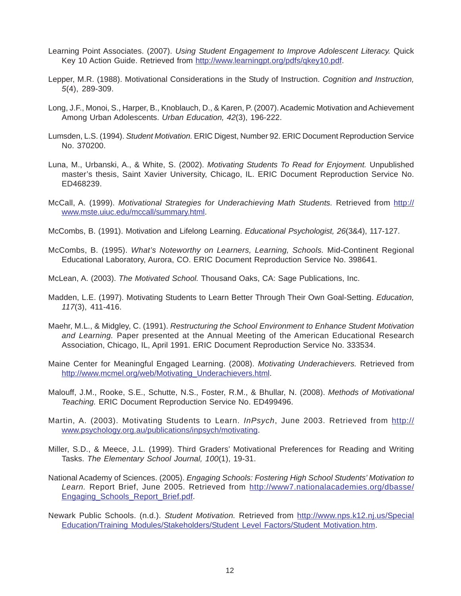- Learning Point Associates. (2007). *Using Student Engagement to Improve Adolescent Literacy.* Quick Key 10 Action Guide. Retrieved from http://www.learningpt.org/pdfs/qkey10.pdf.
- Lepper, M.R. (1988). Motivational Considerations in the Study of Instruction. *Cognition and Instruction, 5*(4), 289-309.
- Long, J.F., Monoi, S., Harper, B., Knoblauch, D., & Karen, P. (2007). Academic Motivation and Achievement Among Urban Adolescents. *Urban Education, 42*(3), 196-222.
- Lumsden, L.S. (1994). *Student Motivation.* ERIC Digest, Number 92. ERIC Document Reproduction Service No. 370200.
- Luna, M., Urbanski, A., & White, S. (2002). *Motivating Students To Read for Enjoyment.* Unpublished master's thesis, Saint Xavier University, Chicago, IL. ERIC Document Reproduction Service No. ED468239.
- McCall, A. (1999). *Motivational Strategies for Underachieving Math Students.* Retrieved from http:// www.mste.uiuc.edu/mccall/summary.html.
- McCombs, B. (1991). Motivation and Lifelong Learning. *Educational Psychologist, 26*(3&4), 117-127.
- McCombs, B. (1995). *What's Noteworthy on Learners, Learning, Schools.* Mid-Continent Regional Educational Laboratory, Aurora, CO. ERIC Document Reproduction Service No. 398641.
- McLean, A. (2003). *The Motivated School.* Thousand Oaks, CA: Sage Publications, Inc.
- Madden, L.E. (1997). Motivating Students to Learn Better Through Their Own Goal-Setting. *Education, 117*(3), 411-416.
- Maehr, M.L., & Midgley, C. (1991). *Restructuring the School Environment to Enhance Student Motivation and Learning.* Paper presented at the Annual Meeting of the American Educational Research Association, Chicago, IL, April 1991. ERIC Document Reproduction Service No. 333534.
- Maine Center for Meaningful Engaged Learning. (2008). *Motivating Underachievers.* Retrieved from http://www.mcmel.org/web/Motivating\_Underachievers.html.
- Malouff, J.M., Rooke, S.E., Schutte, N.S., Foster, R.M., & Bhullar, N. (2008). *Methods of Motivational Teaching.* ERIC Document Reproduction Service No. ED499496.
- Martin, A. (2003). Motivating Students to Learn. *InPsych*, June 2003. Retrieved from http:// www.psychology.org.au/publications/inpsych/motivating.
- Miller, S.D., & Meece, J.L. (1999). Third Graders' Motivational Preferences for Reading and Writing Tasks. *The Elementary School Journal, 100*(1), 19-31.
- National Academy of Sciences. (2005). *Engaging Schools: Fostering High School Students' Motivation to* Learn. Report Brief, June 2005. Retrieved from http://www7.nationalacademies.org/dbasse/ Engaging\_Schools\_Report\_Brief.pdf.
- Newark Public Schools. (n.d.). *Student Motivation.* Retrieved from http://www.nps.k12.nj.us/Special Education/Training Modules/Stakeholders/Student Level Factors/Student Motivation.htm.